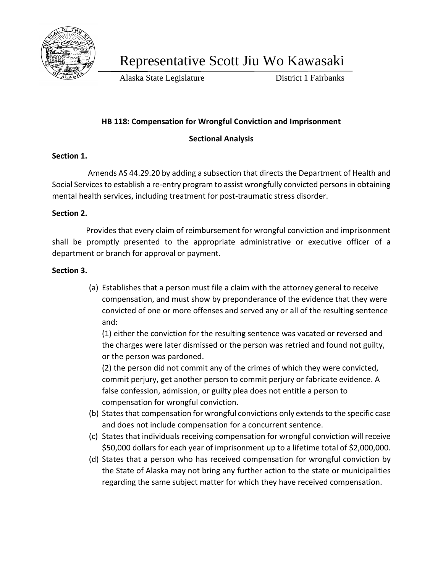

Representative Scott Jiu Wo Kawasaki

Alaska State Legislature District 1 Fairbanks

# **HB 118: Compensation for Wrongful Conviction and Imprisonment**

## **Sectional Analysis**

## **Section 1.**

Amends AS 44.29.20 by adding a subsection that directs the Department of Health and Social Services to establish a re-entry program to assist wrongfully convicted persons in obtaining mental health services, including treatment for post-traumatic stress disorder.

#### **Section 2.**

 Provides that every claim of reimbursement for wrongful conviction and imprisonment shall be promptly presented to the appropriate administrative or executive officer of a department or branch for approval or payment.

#### **Section 3.**

(a) Establishes that a person must file a claim with the attorney general to receive compensation, and must show by preponderance of the evidence that they were convicted of one or more offenses and served any or all of the resulting sentence and:

(1) either the conviction for the resulting sentence was vacated or reversed and the charges were later dismissed or the person was retried and found not guilty, or the person was pardoned.

(2) the person did not commit any of the crimes of which they were convicted, commit perjury, get another person to commit perjury or fabricate evidence. A false confession, admission, or guilty plea does not entitle a person to compensation for wrongful conviction.

- (b) States that compensation for wrongful convictions only extends to the specific case and does not include compensation for a concurrent sentence.
- (c) States that individuals receiving compensation for wrongful conviction will receive \$50,000 dollars for each year of imprisonment up to a lifetime total of \$2,000,000.
- (d) States that a person who has received compensation for wrongful conviction by the State of Alaska may not bring any further action to the state or municipalities regarding the same subject matter for which they have received compensation.